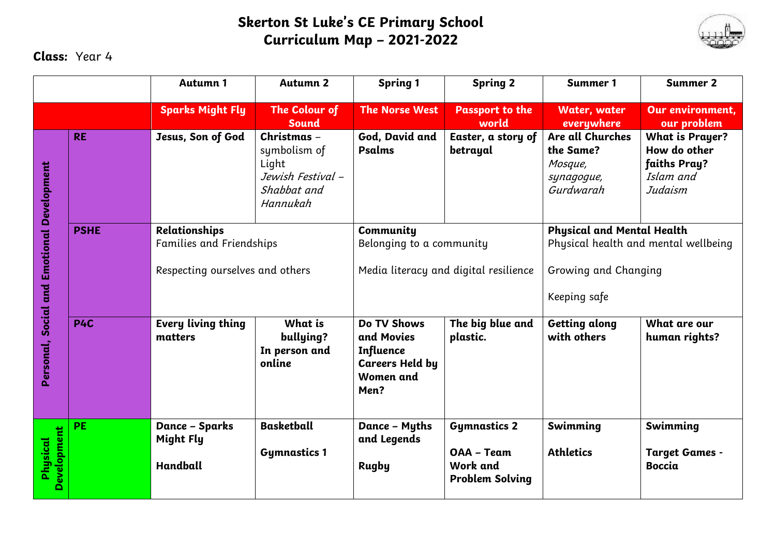## **Skerton St Luke's CE Primary School Curriculum Map – 2021-2022**



## **Class:** Year 4

|                                            |             | <b>Autumn 1</b>                                                              | <b>Autumn 2</b>                                                                      | <b>Spring 1</b>                                                                              | <b>Spring 2</b>                                                         | Summer 1                                                                                                          | <b>Summer 2</b>                                                                |
|--------------------------------------------|-------------|------------------------------------------------------------------------------|--------------------------------------------------------------------------------------|----------------------------------------------------------------------------------------------|-------------------------------------------------------------------------|-------------------------------------------------------------------------------------------------------------------|--------------------------------------------------------------------------------|
|                                            |             | <b>Sparks Might Fly</b>                                                      | The Colour of<br><b>Sound</b>                                                        | <b>The Norse West</b>                                                                        | <b>Passport to the</b><br>world                                         | <b>Water, water</b><br>everywhere                                                                                 | Our environment.<br>our problem                                                |
| Personal, Social and Emotional Development | <b>RE</b>   | Jesus, Son of God                                                            | Christmas -<br>symbolism of<br>Light<br>Jewish Festival -<br>Shabbat and<br>Hannukah | God, David and<br>Psalms                                                                     | Easter, a story of<br>betrayal                                          | Are all Churches<br>the Same?<br>Mosque,<br>synagogue,<br>Gurdwarah                                               | <b>What is Prayer?</b><br>How do other<br>faiths Pray?<br>Islam and<br>Judaism |
|                                            | <b>PSHE</b> | Relationships<br>Families and Friendships<br>Respecting ourselves and others |                                                                                      | Community<br>Belonging to a community<br>Media literacy and digital resilience               |                                                                         | <b>Physical and Mental Health</b><br>Physical health and mental wellbeing<br>Growing and Changing<br>Keeping safe |                                                                                |
|                                            | P4C         | Every living thing<br>matters                                                | What is<br>bullying?<br>In person and<br>online                                      | Do TV Shows<br>and Movies<br><b>Influence</b><br><b>Careers Held by</b><br>Women and<br>Men? | The big blue and<br>plastic.                                            | <b>Getting along</b><br>with others                                                                               | What are our<br>human rights?                                                  |
| Development<br>Physical                    | <b>PE</b>   | Dance - Sparks<br>Might Fly<br><b>Handball</b>                               | <b>Basketball</b><br><b>Gymnastics 1</b>                                             | Dance - Myths<br>and Legends<br><b>Rugby</b>                                                 | <b>Gymnastics 2</b><br>OAA - Team<br>Work and<br><b>Problem Solving</b> | Swimming<br><b>Athletics</b>                                                                                      | Swimming<br><b>Target Games -</b><br><b>Boccia</b>                             |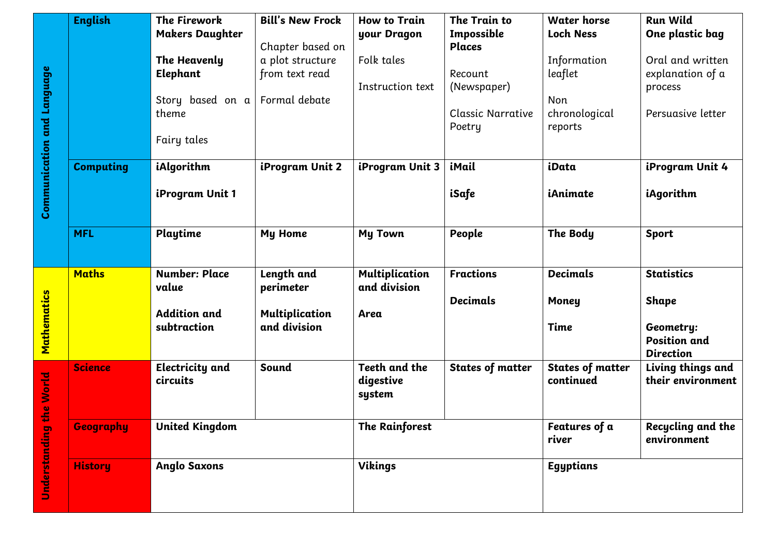|                                   | <b>English</b>   | <b>The Firework</b>         | <b>Bill's New Frock</b>               | <b>How to Train</b>                  | The Train to             | <b>Water horse</b>                   | <b>Run Wild</b>                        |
|-----------------------------------|------------------|-----------------------------|---------------------------------------|--------------------------------------|--------------------------|--------------------------------------|----------------------------------------|
|                                   |                  | <b>Makers Daughter</b>      |                                       | your Dragon                          | Impossible               | <b>Loch Ness</b>                     | One plastic bag                        |
|                                   |                  |                             | Chapter based on                      |                                      | <b>Places</b>            |                                      |                                        |
| <b>Communication and Language</b> |                  | The Heavenly                | a plot structure                      | Folk tales                           |                          | Information                          | Oral and written                       |
|                                   |                  | Elephant                    | from text read                        |                                      | Recount                  | leaflet                              | explanation of a                       |
|                                   |                  |                             |                                       | Instruction text                     | (Newspaper)              |                                      | process                                |
|                                   |                  | Story based on a            | Formal debate                         |                                      |                          | Non                                  |                                        |
|                                   |                  | theme                       |                                       |                                      | <b>Classic Narrative</b> | chronological                        | Persuasive letter                      |
|                                   |                  |                             |                                       |                                      | Poetry                   | reports                              |                                        |
|                                   |                  | Fairy tales                 |                                       |                                      |                          |                                      |                                        |
|                                   | <b>Computing</b> | iAlgorithm                  | iProgram Unit 2                       | iProgram Unit 3                      | iMail                    | iData                                | iProgram Unit 4                        |
|                                   |                  | iProgram Unit 1             |                                       |                                      | iSafe                    | iAnimate                             | iAgorithm                              |
|                                   | <b>MFL</b>       | Playtime                    | <b>My Home</b>                        | My Town                              | People                   | The Body                             | <b>Sport</b>                           |
|                                   | <b>Maths</b>     | <b>Number: Place</b>        | Length and                            | Multiplication                       | <b>Fractions</b>         | <b>Decimals</b>                      | <b>Statistics</b>                      |
|                                   |                  | value                       | perimeter                             | and division                         | <b>Decimals</b>          |                                      |                                        |
|                                   |                  | <b>Addition and</b>         |                                       |                                      |                          | <b>Money</b>                         | Shape                                  |
|                                   |                  | subtraction                 | <b>Multiplication</b><br>and division | Area                                 |                          | Time                                 |                                        |
| Mathematics                       |                  |                             |                                       |                                      |                          |                                      | Geometry:<br><b>Position and</b>       |
|                                   |                  |                             |                                       |                                      |                          |                                      | <b>Direction</b>                       |
| the World<br>Understanding        | Science          | Electricity and<br>circuits | Sound                                 | Teeth and the<br>digestive<br>system | <b>States of matter</b>  | <b>States of matter</b><br>continued | Living things and<br>their environment |
|                                   |                  |                             |                                       |                                      |                          |                                      |                                        |
|                                   | Geography        | <b>United Kingdom</b>       |                                       | <b>The Rainforest</b>                |                          | Features of a<br>river               | Recycling and the<br>environment       |
|                                   | <b>History</b>   | <b>Anglo Saxons</b>         |                                       | <b>Vikings</b>                       |                          | Egyptians                            |                                        |